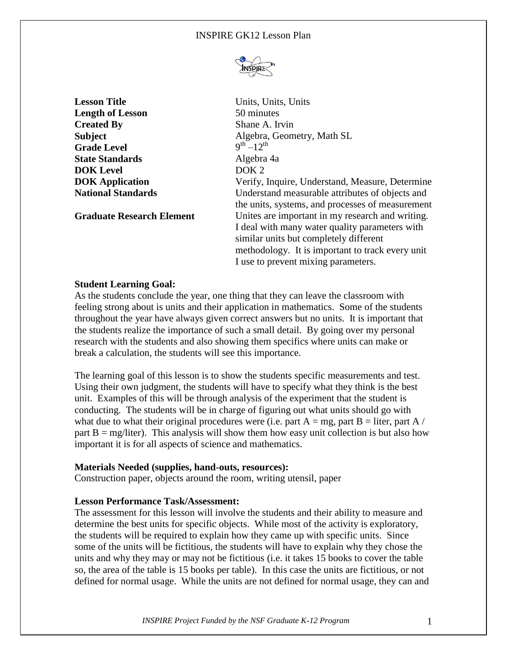

**Lesson Title** Units, Units, Units, Units **Length of Lesson** 50 minutes **Created By** Shane A. Irvin **Grade Level State Standards** Algebra 4a **DOK Level** DOK 2

**Subject** Algebra, Geometry, Math SL  $\sum_{n=1}^{\text{th}}$ **DOK Application Verify, Inquire, Understand, Measure, Determine National Standards Example 3** Understand measurable attributes of objects and the units, systems, and processes of measurement **Graduate Research Element** Unites are important in my research and writing. I deal with many water quality parameters with similar units but completely different methodology. It is important to track every unit I use to prevent mixing parameters.

# **Student Learning Goal:**

As the students conclude the year, one thing that they can leave the classroom with feeling strong about is units and their application in mathematics. Some of the students throughout the year have always given correct answers but no units. It is important that the students realize the importance of such a small detail. By going over my personal research with the students and also showing them specifics where units can make or break a calculation, the students will see this importance.

The learning goal of this lesson is to show the students specific measurements and test. Using their own judgment, the students will have to specify what they think is the best unit. Examples of this will be through analysis of the experiment that the student is conducting. The students will be in charge of figuring out what units should go with what due to what their original procedures were (i.e. part  $A = mg$ , part  $B =$  liter, part A / part  $B = mg/liter$ ). This analysis will show them how easy unit collection is but also how important it is for all aspects of science and mathematics.

## **Materials Needed (supplies, hand-outs, resources):**

Construction paper, objects around the room, writing utensil, paper

## **Lesson Performance Task/Assessment:**

The assessment for this lesson will involve the students and their ability to measure and determine the best units for specific objects. While most of the activity is exploratory, the students will be required to explain how they came up with specific units. Since some of the units will be fictitious, the students will have to explain why they chose the units and why they may or may not be fictitious (i.e. it takes 15 books to cover the table so, the area of the table is 15 books per table). In this case the units are fictitious, or not defined for normal usage. While the units are not defined for normal usage, they can and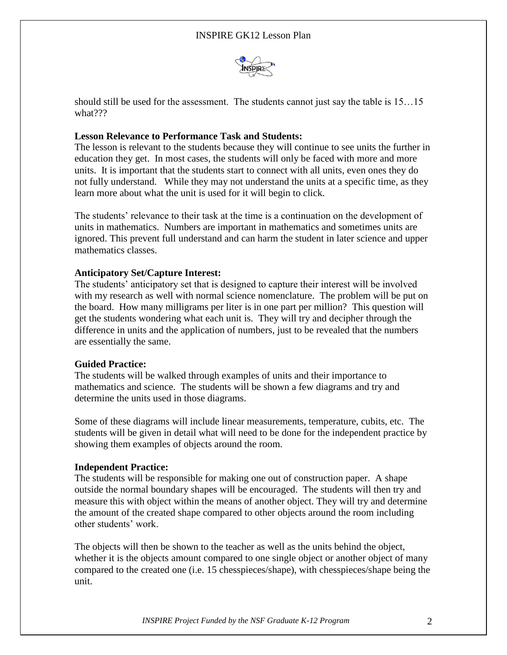

should still be used for the assessment. The students cannot just say the table is 15…15 what???

## **Lesson Relevance to Performance Task and Students:**

The lesson is relevant to the students because they will continue to see units the further in education they get. In most cases, the students will only be faced with more and more units. It is important that the students start to connect with all units, even ones they do not fully understand. While they may not understand the units at a specific time, as they learn more about what the unit is used for it will begin to click.

The students' relevance to their task at the time is a continuation on the development of units in mathematics. Numbers are important in mathematics and sometimes units are ignored. This prevent full understand and can harm the student in later science and upper mathematics classes.

### **Anticipatory Set/Capture Interest:**

The students' anticipatory set that is designed to capture their interest will be involved with my research as well with normal science nomenclature. The problem will be put on the board. How many milligrams per liter is in one part per million? This question will get the students wondering what each unit is. They will try and decipher through the difference in units and the application of numbers, just to be revealed that the numbers are essentially the same.

### **Guided Practice:**

The students will be walked through examples of units and their importance to mathematics and science. The students will be shown a few diagrams and try and determine the units used in those diagrams.

Some of these diagrams will include linear measurements, temperature, cubits, etc. The students will be given in detail what will need to be done for the independent practice by showing them examples of objects around the room.

### **Independent Practice:**

The students will be responsible for making one out of construction paper. A shape outside the normal boundary shapes will be encouraged. The students will then try and measure this with object within the means of another object. They will try and determine the amount of the created shape compared to other objects around the room including other students' work.

The objects will then be shown to the teacher as well as the units behind the object, whether it is the objects amount compared to one single object or another object of many compared to the created one (i.e. 15 chesspieces/shape), with chesspieces/shape being the unit.